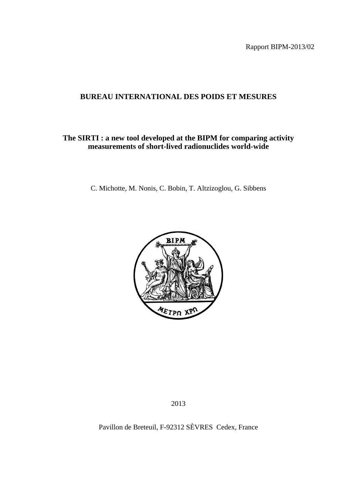Rapport BIPM-2013/02

# **BUREAU INTERNATIONAL DES POIDS ET MESURES**

## **The SIRTI : a new tool developed at the BIPM for comparing activity measurements of short-lived radionuclides world-wide**

C. Michotte, M. Nonis, C. Bobin, T. Altzizoglou, G. Sibbens



2013

Pavillon de Breteuil, F-92312 SÈVRES Cedex, France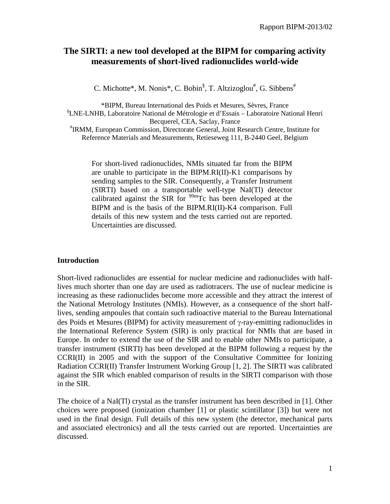# **The SIRTI: a new tool developed at the BIPM for comparing activity measurements of short-lived radionuclides world-wide**

C. Michotte\*, M. Nonis\*, C. Bobin<sup>§</sup>, T. Altzizoglou<sup>#</sup>, G. Sibbens<sup>#</sup>

\*BIPM, Bureau International des Poids et Mesures, Sèvres, France § LNE-LNHB, Laboratoire National de Métrologie et d'Essais – Laboratoire National Henri Becquerel, CEA, Saclay, France

# IRMM, European Commission, Directorate General, Joint Research Centre, Institute for Reference Materials and Measurements, Retieseweg 111, B-2440 Geel, Belgium

For short-lived radionuclides, NMIs situated far from the BIPM are unable to participate in the BIPM.RI(II)-K1 comparisons by sending samples to the SIR. Consequently, a Transfer Instrument (SIRTI) based on a transportable well-type NaI(Tl) detector calibrated against the SIR for  $99<sup>m</sup>$ Tc has been developed at the BIPM and is the basis of the BIPM.RI(II)-K4 comparison. Full details of this new system and the tests carried out are reported. Uncertainties are discussed.

#### **Introduction**

Short-lived radionuclides are essential for nuclear medicine and radionuclides with halflives much shorter than one day are used as radiotracers. The use of nuclear medicine is increasing as these radionuclides become more accessible and they attract the interest of the National Metrology Institutes (NMIs). However, as a consequence of the short halflives, sending ampoules that contain such radioactive material to the Bureau International des Poids et Mesures (BIPM) for activity measurement of γ-ray-emitting radionuclides in the International Reference System (SIR) is only practical for NMIs that are based in Europe. In order to extend the use of the SIR and to enable other NMIs to participate, a transfer instrument (SIRTI) has been developed at the BIPM following a request by the CCRI(II) in 2005 and with the support of the Consultative Committee for Ionizing Radiation CCRI(II) Transfer Instrument Working Group [1, 2]. The SIRTI was calibrated against the SIR which enabled comparison of results in the SIRTI comparison with those in the SIR.

The choice of a NaI(Tl) crystal as the transfer instrument has been described in [1]. Other choices were proposed (ionization chamber [1] or plastic scintillator [3]) but were not used in the final design. Full details of this new system (the detector, mechanical parts and associated electronics) and all the tests carried out are reported. Uncertainties are discussed.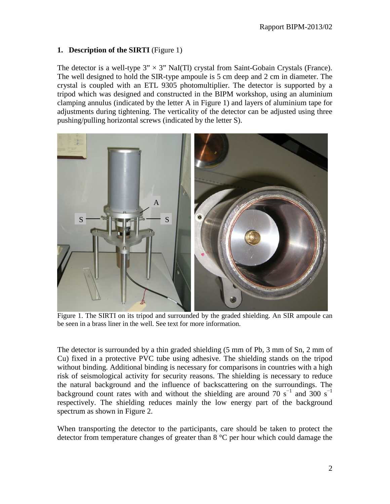## **1. Description of the SIRTI** (Figure 1)

The detector is a well-type  $3'' \times 3''$  NaI(Tl) crystal from Saint-Gobain Crystals (France). The well designed to hold the SIR-type ampoule is 5 cm deep and 2 cm in diameter. The crystal is coupled with an ETL 9305 photomultiplier. The detector is supported by a tripod which was designed and constructed in the BIPM workshop, using an aluminium clamping annulus (indicated by the letter A in Figure 1) and layers of aluminium tape for adjustments during tightening. The verticality of the detector can be adjusted using three pushing/pulling horizontal screws (indicated by the letter S).



Figure 1. The SIRTI on its tripod and surrounded by the graded shielding. An SIR ampoule can be seen in a brass liner in the well. See text for more information.

The detector is surrounded by a thin graded shielding (5 mm of Pb, 3 mm of Sn, 2 mm of Cu) fixed in a protective PVC tube using adhesive. The shielding stands on the tripod without binding. Additional binding is necessary for comparisons in countries with a high risk of seismological activity for security reasons. The shielding is necessary to reduce the natural background and the influence of backscattering on the surroundings. The background count rates with and without the shielding are around 70 s<sup>-1</sup> and 300 s<sup>-1</sup> respectively. The shielding reduces mainly the low energy part of the background spectrum as shown in Figure 2.

When transporting the detector to the participants, care should be taken to protect the detector from temperature changes of greater than 8 °C per hour which could damage the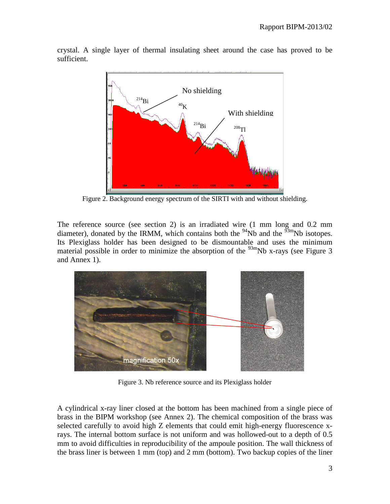

crystal. A single layer of thermal insulating sheet around the case has proved to be sufficient.

Figure 2. Background energy spectrum of the SIRTI with and without shielding.

The reference source (see section 2) is an irradiated wire (1 mm long and 0.2 mm diameter), donated by the IRMM, which contains both the  $\frac{94}{10}$ Nb and the  $\frac{93 \text{m}}{100}$ Nb isotopes. Its Plexiglass holder has been designed to be dismountable and uses the minimum material possible in order to minimize the absorption of the  $\frac{93 \text{m}}{2}$ Nb x-rays (see Figure 3) and Annex 1).



Figure 3. Nb reference source and its Plexiglass holder

A cylindrical x-ray liner closed at the bottom has been machined from a single piece of brass in the BIPM workshop (see Annex 2). The chemical composition of the brass was selected carefully to avoid high Z elements that could emit high-energy fluorescence xrays. The internal bottom surface is not uniform and was hollowed-out to a depth of 0.5 mm to avoid difficulties in reproducibility of the ampoule position. The wall thickness of the brass liner is between 1 mm (top) and 2 mm (bottom). Two backup copies of the liner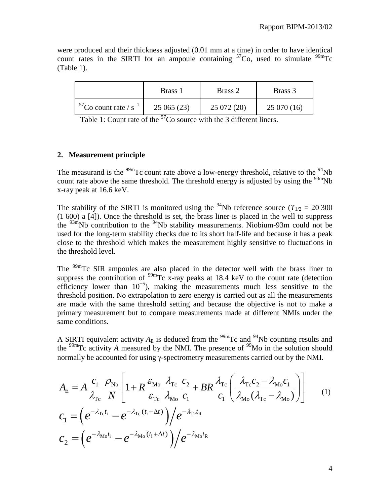were produced and their thickness adjusted (0.01 mm at a time) in order to have identical count rates in the SIRTI for an ampoule containing  ${}^{57}Co$ , used to simulate  ${}^{99m}Te$ (Table 1).

|                               | Brass 1   | Brass 2     | Brass 3   |
|-------------------------------|-----------|-------------|-----------|
| $57$ Co count rate / $s^{-1}$ | 25065(23) | 25 072 (20) | 25070(16) |

Table 1: Count rate of the  $57C$  source with the 3 different liners.

#### **2. Measurement principle**

The measurand is the  $\frac{99m}{\text{T}}$ c count rate above a low-energy threshold, relative to the  $\frac{94}{\text{Nb}}$ count rate above the same threshold. The threshold energy is adjusted by using the  $\frac{93m}{10}$ Nb x-ray peak at 16.6 keV.

The stability of the SIRTI is monitored using the <sup>94</sup>Nb reference source ( $T_{1/2} = 20,300$ )  $(1\ 600)$  a  $[4]$ ). Once the threshold is set, the brass liner is placed in the well to suppress the  $93m$ Nb contribution to the  $94Nb$  stability measurements. Niobium-93m could not be used for the long-term stability checks due to its short half-life and because it has a peak close to the threshold which makes the measurement highly sensitive to fluctuations in the threshold level.

The <sup>99m</sup>Tc SIR ampoules are also placed in the detector well with the brass liner to suppress the contribution of  $^{99m}$ Tc x-ray peaks at 18.4 keV to the count rate (detection efficiency lower than  $10^{-5}$ ), making the measurements much less sensitive to the threshold position. No extrapolation to zero energy is carried out as all the measurements are made with the same threshold setting and because the objective is not to make a primary measurement but to compare measurements made at different NMIs under the same conditions.

A SIRTI equivalent activity  $A_E$  is deduced from the <sup>99m</sup>Tc and <sup>94</sup>Nb counting results and the  $\frac{99 \text{m}}{2}$  activity *A* measured by the NMI. The presence of  $\frac{99}{10}$  in the solution should normally be accounted for using γ-spectrometry measurements carried out by the NMI.

$$
A_{\rm E} = A \frac{c_1}{\lambda_{\rm Tc}} \frac{\rho_{\rm Nb}}{N} \left[ 1 + R \frac{\varepsilon_{\rm Mo}}{\varepsilon_{\rm Tc}} \frac{\lambda_{\rm Tc}}{\lambda_{\rm Mo}} \frac{c_2}{c_1} + BR \frac{\lambda_{\rm Tc}}{c_1} \left( \frac{\lambda_{\rm Tc} c_2 - \lambda_{\rm Mo} c_1}{\lambda_{\rm Mo} (\lambda_{\rm Tc} - \lambda_{\rm Mo})} \right) \right]
$$
  
\n
$$
c_1 = \left( e^{-\lambda_{\rm Tc} t_i} - e^{-\lambda_{\rm Tc} (t_i + \Delta t)} \right) \left/ e^{-\lambda_{\rm Tc} t_{\rm R}} \right]
$$
  
\n
$$
c_2 = \left( e^{-\lambda_{\rm Mo} t_i} - e^{-\lambda_{\rm Mo} (t_i + \Delta t)} \right) \left/ e^{-\lambda_{\rm Mo} t_{\rm R}} \right]
$$
  
\n(1)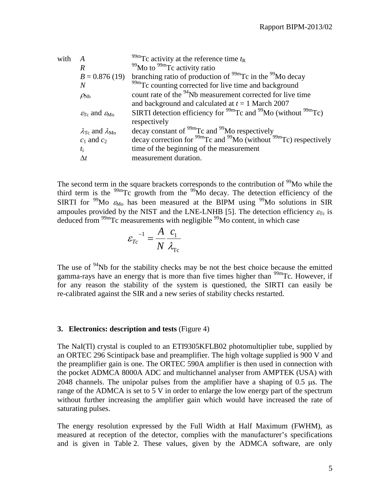| with |                                                         | <sup>99m</sup> Tc activity at the reference time $t_R$                                          |
|------|---------------------------------------------------------|-------------------------------------------------------------------------------------------------|
|      | R                                                       | $99$ Mo to $99m$ Tc activity ratio                                                              |
|      | $B = 0.876(19)$                                         | branching ratio of production of <sup>99m</sup> Tc in the <sup>99</sup> Mo decay                |
|      | N                                                       | <sup>99m</sup> Tc counting corrected for live time and background                               |
|      | $\rho_{Nb}$                                             | count rate of the <sup>94</sup> Nb measurement corrected for live time                          |
|      |                                                         | and background and calculated at $t = 1$ March 2007                                             |
|      | $\varepsilon_{\text{Te}}$ and $\varepsilon_{\text{Mo}}$ | SIRTI detection efficiency for $^{99m}$ Tc and $^{99}$ Mo (without $^{99m}$ Tc)<br>respectively |
|      | $\lambda_{\text{Te}}$ and $\lambda_{\text{Mo}}$         | decay constant of $\rm{^{99m}Tc}$ and $\rm{^{99}Mo}$ respectively                               |
|      | $c_1$ and $c_2$                                         | decay correction for $^{99m}$ Tc and $^{99}$ Mo (without $^{99m}$ Tc) respectively              |
|      | $t_{\rm i}$                                             | time of the beginning of the measurement                                                        |
|      | $\Delta t$                                              | measurement duration.                                                                           |
|      |                                                         |                                                                                                 |

The second term in the square brackets corresponds to the contribution of <sup>99</sup>Mo while the third term is the <sup>99m</sup>Tc growth from the <sup>99</sup>Mo decay. The detection efficiency of the SIRTI for <sup>99</sup>Mo  $\varepsilon_{\text{Mo}}$  has been measured at the BIPM using <sup>99</sup>Mo solutions in SIR ampoules provided by the NIST and the LNE-LNHB [5]. The detection efficiency  $\varepsilon_{Tc}$  is deduced from <sup>99m</sup>Tc measurements with negligible <sup>99</sup>Mo content, in which case

$$
\varepsilon_{Tc}^{-1} = \frac{A}{N} \frac{c_1}{\lambda_{Tc}}
$$

The use of <sup>94</sup>Nb for the stability checks may be not the best choice because the emitted gamma-rays have an energy that is more than five times higher than  $\frac{99 \text{m}}{2}$ C. However, if for any reason the stability of the system is questioned, the SIRTI can easily be re-calibrated against the SIR and a new series of stability checks restarted.

#### **3. Electronics: description and tests** (Figure 4)

The NaI(Tl) crystal is coupled to an ETI9305KFLB02 photomultiplier tube, supplied by an ORTEC 296 Scintipack base and preamplifier. The high voltage supplied is 900 V and the preamplifier gain is one. The ORTEC 590A amplifier is then used in connection with the pocket ADMCA 8000A ADC and multichannel analyser from AMPTEK (USA) with 2048 channels. The unipolar pulses from the amplifier have a shaping of 0.5 µs. The range of the ADMCA is set to 5 V in order to enlarge the low energy part of the spectrum without further increasing the amplifier gain which would have increased the rate of saturating pulses.

The energy resolution expressed by the Full Width at Half Maximum (FWHM), as measured at reception of the detector, complies with the manufacturer's specifications and is given in Table 2. These values, given by the ADMCA software, are only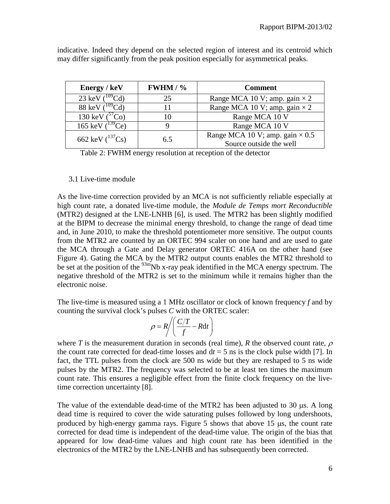| Energy / keV                     | $FWHM / \%$ | <b>Comment</b>                                                    |
|----------------------------------|-------------|-------------------------------------------------------------------|
| $23$ keV                         | 25          | Range MCA 10 V; amp. gain $\times$ 2                              |
| 88 keV $(^{109}C)$               |             | Range MCA 10 V; amp. gain $\times$ 2                              |
| 130 keV $(3)$                    |             | Range MCA 10 V                                                    |
| 165 keV $(^{139}$<br>$C_{\rm e}$ |             | Range MCA 10 V                                                    |
| 662 keV $(^{137}Cs)$             | 6.5         | Range MCA 10 V; amp. gain $\times$ 0.5<br>Source outside the well |

indicative. Indeed they depend on the selected region of interest and its centroid which may differ significantly from the peak position especially for asymmetrical peaks.

Table 2: FWHM energy resolution at reception of the detector

#### 3.1 Live-time module

As the live-time correction provided by an MCA is not sufficiently reliable especially at high count rate, a donated live-time module, the *Module de Temps mort Reconductible* (MTR2) designed at the LNE-LNHB [6], is used. The MTR2 has been slightly modified at the BIPM to decrease the minimal energy threshold, to change the range of dead time and, in June 2010, to make the threshold potentiometer more sensitive. The output counts from the MTR2 are counted by an ORTEC 994 scaler on one hand and are used to gate the MCA through a Gate and Delay generator ORTEC 416A on the other hand (see Figure 4). Gating the MCA by the MTR2 output counts enables the MTR2 threshold to be set at the position of the  $93m$ Nb x-ray peak identified in the MCA energy spectrum. The negative threshold of the MTR2 is set to the minimum while it remains higher than the electronic noise.

The live-time is measured using a 1 MHz oscillator or clock of known frequency *f* and by counting the survival clock's pulses *C* with the ORTEC scaler:

$$
\rho = R \bigg/ \bigg( \frac{C/T}{f} - R \mathrm{d} t \bigg)
$$

where *T* is the measurement duration in seconds (real time), *R* the observed count rate,  $\rho$ the count rate corrected for dead-time losses and  $dt = 5$  ns is the clock pulse width [7]. In fact, the TTL pulses from the clock are 500 ns wide but they are reshaped to 5 ns wide pulses by the MTR2. The frequency was selected to be at least ten times the maximum count rate. This ensures a negligible effect from the finite clock frequency on the livetime correction uncertainty [8].

The value of the extendable dead-time of the MTR2 has been adjusted to 30 µs. A long dead time is required to cover the wide saturating pulses followed by long undershoots, produced by high-energy gamma rays. Figure 5 shows that above 15 µs, the count rate corrected for dead time is independent of the dead-time value. The origin of the bias that appeared for low dead-time values and high count rate has been identified in the electronics of the MTR2 by the LNE-LNHB and has subsequently been corrected.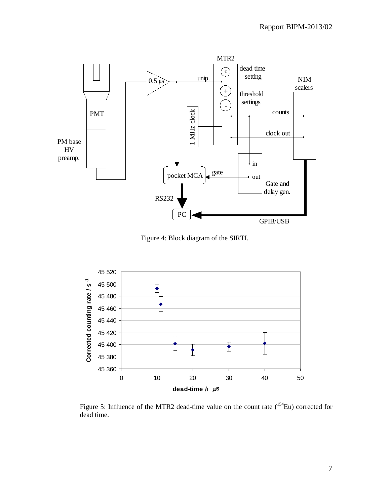

Figure 4: Block diagram of the SIRTI.



Figure 5: Influence of the MTR2 dead-time value on the count rate  $(^{154}Eu)$  corrected for dead time.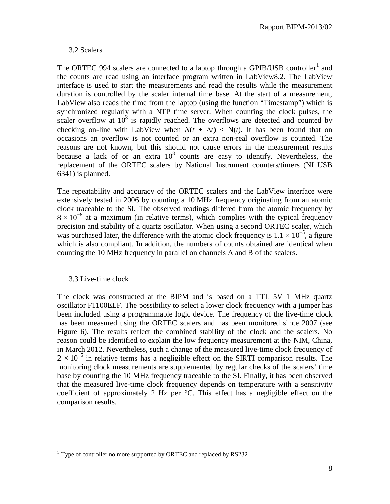#### 3.2 Scalers

The ORTEC 994 scalers are connected to a laptop through a GPIB/USB controller<sup>[1](#page-8-0)</sup> and the counts are read using an interface program written in LabView8.2. The LabView interface is used to start the measurements and read the results while the measurement duration is controlled by the scaler internal time base. At the start of a measurement, LabView also reads the time from the laptop (using the function "Timestamp") which is synchronized regularly with a NTP time server. When counting the clock pulses, the scaler overflow at  $10^8$  is rapidly reached. The overflows are detected and counted by checking on-line with LabView when  $N(t + \Delta t) < N(t)$ . It has been found that on occasions an overflow is not counted or an extra non-real overflow is counted. The reasons are not known, but this should not cause errors in the measurement results because a lack of or an extra  $10^8$  counts are easy to identify. Nevertheless, the replacement of the ORTEC scalers by National Instrument counters/timers (NI USB 6341) is planned.

The repeatability and accuracy of the ORTEC scalers and the LabView interface were extensively tested in 2006 by counting a 10 MHz frequency originating from an atomic clock traceable to the SI. The observed readings differed from the atomic frequency by  $8 \times 10^{-6}$  at a maximum (in relative terms), which complies with the typical frequency precision and stability of a quartz oscillator. When using a second ORTEC scaler, which was purchased later, the difference with the atomic clock frequency is  $1.1 \times 10^{-5}$ , a figure which is also compliant. In addition, the numbers of counts obtained are identical when counting the 10 MHz frequency in parallel on channels A and B of the scalers.

#### 3.3 Live-time clock

 $\overline{a}$ 

The clock was constructed at the BIPM and is based on a TTL 5V 1 MHz quartz oscillator F1100ELF. The possibility to select a lower clock frequency with a jumper has been included using a programmable logic device. The frequency of the live-time clock has been measured using the ORTEC scalers and has been monitored since 2007 (see Figure 6). The results reflect the combined stability of the clock and the scalers. No reason could be identified to explain the low frequency measurement at the NIM, China, in March 2012. Nevertheless, such a change of the measured live-time clock frequency of  $2 \times 10^{-5}$  in relative terms has a negligible effect on the SIRTI comparison results. The monitoring clock measurements are supplemented by regular checks of the scalers' time base by counting the 10 MHz frequency traceable to the SI. Finally, it has been observed that the measured live-time clock frequency depends on temperature with a sensitivity coefficient of approximately 2 Hz per °C. This effect has a negligible effect on the comparison results.

<span id="page-8-0"></span> $1$  Type of controller no more supported by ORTEC and replaced by RS232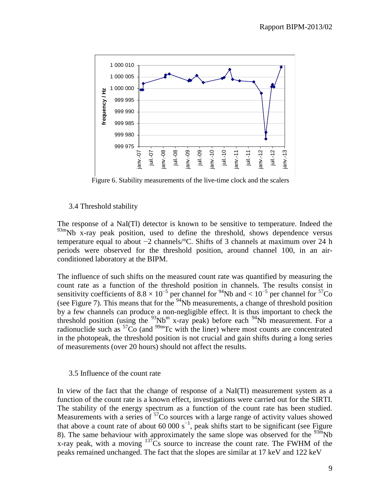

Figure 6. Stability measurements of the live-time clock and the scalers

#### 3.4 Threshold stability

The response of a NaI(Tl) detector is known to be sensitive to temperature. Indeed the  $93m$ Nb x-ray peak position, used to define the threshold, shows dependence versus temperature equal to about −2 channels/°C. Shifts of 3 channels at maximum over 24 h periods were observed for the threshold position, around channel 100, in an airconditioned laboratory at the BIPM.

The influence of such shifts on the measured count rate was quantified by measuring the count rate as a function of the threshold position in channels. The results consist in sensitivity coefficients of  $8.8 \times 10^{-5}$  per channel for  $^{94}$ Nb and  $< 10^{-5}$  per channel for  $^{57}$ Co (see Figure 7). This means that for the <sup>94</sup>Nb measurements, a change of threshold position by a few channels can produce a non-negligible effect. It is thus important to check the threshold position (using the  $93Nb^m$  x-ray peak) before each  $94Nb$  measurement. For a radionuclide such as  ${}^{57}Co$  (and  ${}^{99m}Te$  with the liner) where most counts are concentrated in the photopeak, the threshold position is not crucial and gain shifts during a long series of measurements (over 20 hours) should not affect the results.

#### 3.5 Influence of the count rate

In view of the fact that the change of response of a NaI(Tl) measurement system as a function of the count rate is a known effect, investigations were carried out for the SIRTI. The stability of the energy spectrum as a function of the count rate has been studied. Measurements with a series of  $57<sup>57</sup>$ Co sources with a large range of activity values showed that above a count rate of about 60 000 s<sup> $^{-1}$ </sup>, peak shifts start to be significant (see Figure 8). The same behaviour with approximately the same slope was observed for the  $\frac{93m}{10}$ Nb x-ray peak, with a moving  $137\text{Cs}$  source to increase the count rate. The FWHM of the peaks remained unchanged. The fact that the slopes are similar at 17 keV and 122 keV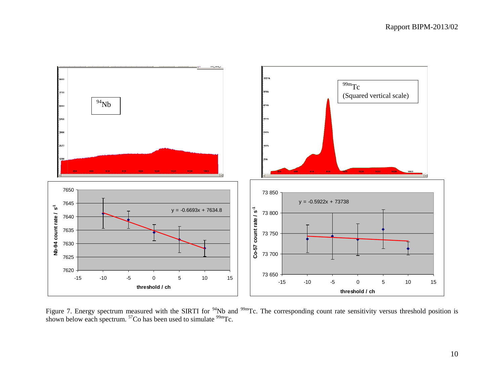

Figure 7. Energy spectrum measured with the SIRTI for  $94$ Nb and  $99$ mTc. The corresponding count rate sensitivity versus threshold position is shown below each spectrum.  ${}^{57}Co$  has been used to simulate  ${}^{99m}Te$ .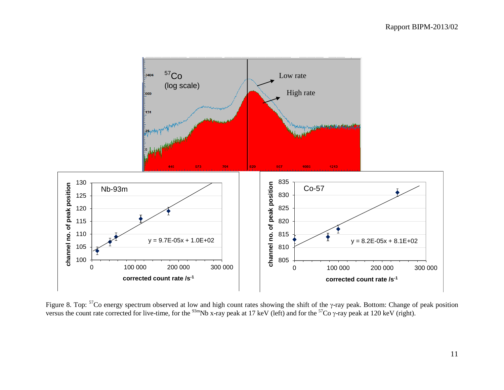

Figure 8. Top:  $57$ Co energy spectrum observed at low and high count rates showing the shift of the  $\gamma$ -ray peak. Bottom: Change of peak position versus the count rate corrected for live-time, for the  $^{93m}$ Nb x-ray peak at 17 keV (left) and for the  $^{57}$ Co  $\gamma$ -ray peak at 120 keV (right).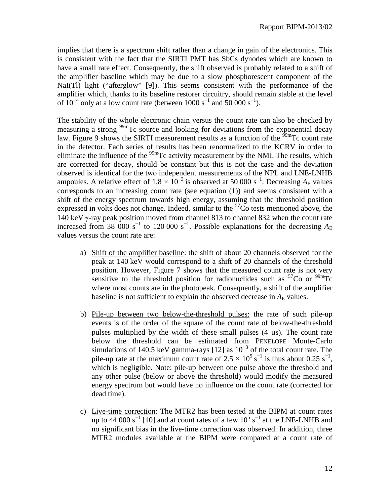implies that there is a spectrum shift rather than a change in gain of the electronics. This is consistent with the fact that the SIRTI PMT has SbCs dynodes which are known to have a small rate effect. Consequently, the shift observed is probably related to a shift of the amplifier baseline which may be due to a slow phosphorescent component of the NaI(Tl) light ("afterglow" [9]). This seems consistent with the performance of the amplifier which, thanks to its baseline restorer circuitry, should remain stable at the level of  $10^{-4}$  only at a low count rate (between 1000 s<sup>-1</sup> and 50 000 s<sup>-1</sup>).

The stability of the whole electronic chain versus the count rate can also be checked by measuring a strong <sup>99m</sup>Tc source and looking for deviations from the exponential decay law. Figure 9 shows the SIRTI measurement results as a function of the  $\frac{99 \text{ m}}{2}$ Tc count rate in the detector. Each series of results has been renormalized to the KCRV in order to eliminate the influence of the  $\frac{99 \text{m}}{2}$  cactivity measurement by the NMI. The results, which are corrected for decay, should be constant but this is not the case and the deviation observed is identical for the two independent measurements of the NPL and LNE-LNHB ampoules. A relative effect of  $1.8 \times 10^{-3}$  is observed at 50 000 s<sup>-1</sup>. Decreasing  $A_{\rm E}$  values corresponds to an increasing count rate (see equation (1)) and seems consistent with a shift of the energy spectrum towards high energy, assuming that the threshold position expressed in volts does not change. Indeed, similar to the  $57<sup>7</sup>$ Co tests mentioned above, the 140 keV γ-ray peak position moved from channel 813 to channel 832 when the count rate increased from 38 000 s<sup>-1</sup> to 120 000 s<sup>-1</sup>. Possible explanations for the decreasing  $A_{\rm E}$ values versus the count rate are:

- a) Shift of the amplifier baseline: the shift of about 20 channels observed for the peak at 140 keV would correspond to a shift of 20 channels of the threshold position. However, Figure 7 shows that the measured count rate is not very sensitive to the threshold position for radionuclides such as  $57^{\circ}$ Co or  $99^{\circ}$ Tc where most counts are in the photopeak. Consequently, a shift of the amplifier baseline is not sufficient to explain the observed decrease in  $A<sub>E</sub>$  values.
- b) Pile-up between two below-the-threshold pulses: the rate of such pile-up events is of the order of the square of the count rate of below-the-threshold pulses multiplied by the width of these small pulses (4 µs). The count rate below the threshold can be estimated from PENELOPE Monte-Carlo simulations of 140.5 keV gamma-rays [12] as  $10^{-3}$  of the total count rate. The pile-up rate at the maximum count rate of  $2.5 \times 10^5$  s<sup>-1</sup> is thus about 0.25 s<sup>-1</sup>, which is negligible. Note: pile-up between one pulse above the threshold and any other pulse (below or above the threshold) would modify the measured energy spectrum but would have no influence on the count rate (corrected for dead time).
- c) Live-time correction: The MTR2 has been tested at the BIPM at count rates up to 44 000 s<sup>-1</sup> [10] and at count rates of a few  $10^5$  s<sup>-1</sup> at the LNE-LNHB and no significant bias in the live-time correction was observed. In addition, three MTR2 modules available at the BIPM were compared at a count rate of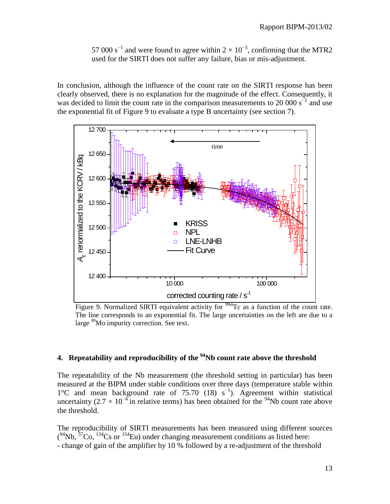57 000 s<sup>-1</sup> and were found to agree within  $2 \times 10^{-5}$ , confirming that the MTR2 used for the SIRTI does not suffer any failure, bias or mis-adjustment.

In conclusion, although the influence of the count rate on the SIRTI response has been clearly observed, there is no explanation for the magnitude of the effect. Consequently, it was decided to limit the count rate in the comparison measurements to 20 000  $s^{-1}$  and use the exponential fit of Figure 9 to evaluate a type B uncertainty (see section 7).



Figure 9. Normalized SIRTI equivalent activity for  $\frac{99 \text{ m}}{2}$  as a function of the count rate. The line corresponds to an exponential fit. The large uncertainties on the left are due to a large <sup>99</sup>Mo impurity correction. See text.

### **4. Repeatability and reproducibility of the 94Nb count rate above the threshold**

The repeatability of the Nb measurement (the threshold setting in particular) has been measured at the BIPM under stable conditions over three days (temperature stable within 1°C and mean background rate of 75.70 (18)  $s^{-1}$ ). Agreement within statistical uncertainty (2.7 × 10<sup>-4</sup> in relative terms) has been obtained for the <sup>94</sup>Nb count rate above the threshold.

The reproducibility of SIRTI measurements has been measured using different sources  $(94Nb, 57Co, 134Cs$  or  $154Eu$ ) under changing measurement conditions as listed here: - change of gain of the amplifier by 10 % followed by a re-adjustment of the threshold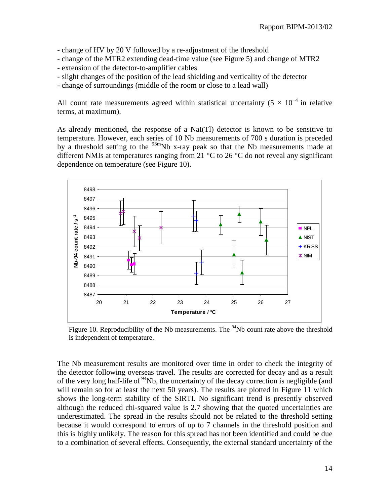- change of HV by 20 V followed by a re-adjustment of the threshold

- change of the MTR2 extending dead-time value (see Figure 5) and change of MTR2
- extension of the detector-to-amplifier cables
- slight changes of the position of the lead shielding and verticality of the detector
- change of surroundings (middle of the room or close to a lead wall)

All count rate measurements agreed within statistical uncertainty (5  $\times$  10<sup>-4</sup> in relative terms, at maximum).

As already mentioned, the response of a NaI(Tl) detector is known to be sensitive to temperature. However, each series of 10 Nb measurements of 700 s duration is preceded by a threshold setting to the  $93m$ Nb x-ray peak so that the Nb measurements made at different NMIs at temperatures ranging from 21 °C to 26 °C do not reveal any significant dependence on temperature (see Figure 10).



Figure 10. Reproducibility of the Nb measurements. The <sup>94</sup>Nb count rate above the threshold is independent of temperature.

The Nb measurement results are monitored over time in order to check the integrity of the detector following overseas travel. The results are corrected for decay and as a result of the very long half-life of  $94$ Nb, the uncertainty of the decay correction is negligible (and will remain so for at least the next 50 years). The results are plotted in Figure 11 which shows the long-term stability of the SIRTI. No significant trend is presently observed although the reduced chi-squared value is 2.7 showing that the quoted uncertainties are underestimated. The spread in the results should not be related to the threshold setting because it would correspond to errors of up to 7 channels in the threshold position and this is highly unlikely. The reason for this spread has not been identified and could be due to a combination of several effects. Consequently, the external standard uncertainty of the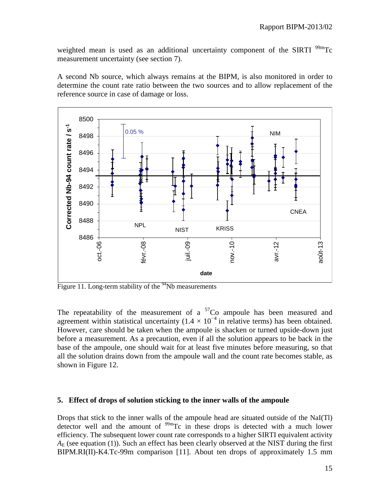weighted mean is used as an additional uncertainty component of the SIRTI  $^{99m}$ Tc measurement uncertainty (see section 7).

A second Nb source, which always remains at the BIPM, is also monitored in order to determine the count rate ratio between the two sources and to allow replacement of the reference source in case of damage or loss.



Figure 11. Long-term stability of the  $94$ Nb measurements

The repeatability of the measurement of a  ${}^{57}Co$  ampoule has been measured and agreement within statistical uncertainty ( $1.4 \times 10^{-4}$  in relative terms) has been obtained. However, care should be taken when the ampoule is shacken or turned upside-down just before a measurement. As a precaution, even if all the solution appears to be back in the base of the ampoule, one should wait for at least five minutes before measuring, so that all the solution drains down from the ampoule wall and the count rate becomes stable, as shown in Figure 12.

#### **5. Effect of drops of solution sticking to the inner walls of the ampoule**

Drops that stick to the inner walls of the ampoule head are situated outside of the NaI(Tl) detector well and the amount of  $^{99m}$ Tc in these drops is detected with a much lower efficiency. The subsequent lower count rate corresponds to a higher SIRTI equivalent activity  $A_{\rm E}$  (see equation (1)). Such an effect has been clearly observed at the NIST during the first BIPM.RI(II)-K4.Tc-99m comparison [11]. About ten drops of approximately 1.5 mm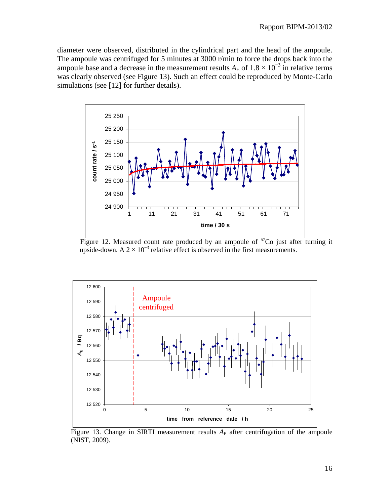diameter were observed, distributed in the cylindrical part and the head of the ampoule. The ampoule was centrifuged for 5 minutes at 3000 r/min to force the drops back into the ampoule base and a decrease in the measurement results  $A_E$  of  $1.8 \times 10^{-3}$  in relative terms was clearly observed (see Figure 13). Such an effect could be reproduced by Monte-Carlo simulations (see [12] for further details).



Figure 12. Measured count rate produced by an ampoule of  $57$ Co just after turning it upside-down. A  $2 \times 10^{-3}$  relative effect is observed in the first measurements.



Figure 13. Change in SIRTI measurement results  $A<sub>E</sub>$  after centrifugation of the ampoule (NIST, 2009).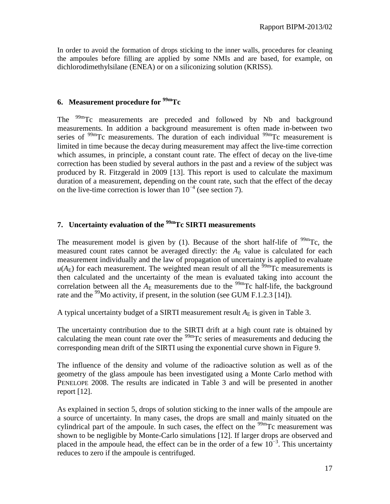In order to avoid the formation of drops sticking to the inner walls, procedures for cleaning the ampoules before filling are applied by some NMIs and are based, for example, on dichlorodimethylsilane (ENEA) or on a siliconizing solution (KRISS).

## **6. Measurement procedure for 99mTc**

The <sup>99m</sup>Tc measurements are preceded and followed by Nb and background measurements. In addition a background measurement is often made in-between two series of  $99m$ Tc measurements. The duration of each individual  $99m$ Tc measurement is limited in time because the decay during measurement may affect the live-time correction which assumes, in principle, a constant count rate. The effect of decay on the live-time correction has been studied by several authors in the past and a review of the subject was produced by R. Fitzgerald in 2009 [13]. This report is used to calculate the maximum duration of a measurement, depending on the count rate, such that the effect of the decay on the live-time correction is lower than  $10^{-4}$  (see section 7).

# **7. Uncertainty evaluation of the 99mTc SIRTI measurements**

The measurement model is given by (1). Because of the short half-life of  $\frac{99 \text{m}}{2}$ C, the measured count rates cannot be averaged directly: the  $A<sub>E</sub>$  value is calculated for each measurement individually and the law of propagation of uncertainty is applied to evaluate  $u(A_E)$  for each measurement. The weighted mean result of all the <sup>59m</sup>Tc measurements is then calculated and the uncertainty of the mean is evaluated taking into account the correlation between all the  $A_E$  measurements due to the <sup>99m</sup>Tc half-life, the background rate and the <sup>99</sup>Mo activity, if present, in the solution (see GUM F.1.2.3 [14]).

A typical uncertainty budget of a SIRTI measurement result  $A<sub>E</sub>$  is given in Table 3.

The uncertainty contribution due to the SIRTI drift at a high count rate is obtained by calculating the mean count rate over the  $99m$ Tc series of measurements and deducing the corresponding mean drift of the SIRTI using the exponential curve shown in Figure 9.

The influence of the density and volume of the radioactive solution as well as of the geometry of the glass ampoule has been investigated using a Monte Carlo method with PENELOPE 2008. The results are indicated in Table 3 and will be presented in another report [12].

As explained in section 5, drops of solution sticking to the inner walls of the ampoule are a source of uncertainty. In many cases, the drops are small and mainly situated on the cylindrical part of the ampoule. In such cases, the effect on the  $\frac{99 \text{m}}{2}$ Tc measurement was shown to be negligible by Monte-Carlo simulations [12]. If larger drops are observed and placed in the ampoule head, the effect can be in the order of a few  $10^{-3}$ . This uncertainty reduces to zero if the ampoule is centrifuged.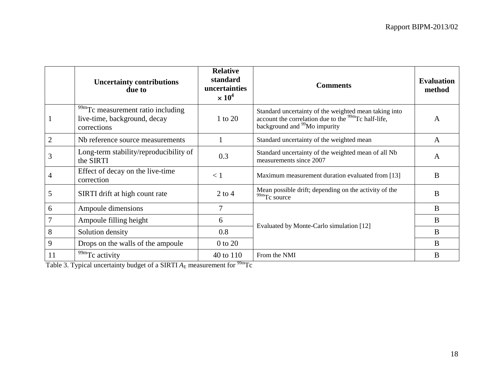|    | <b>Uncertainty contributions</b><br>due to                                                   | <b>Relative</b><br>standard<br>uncertainties<br>$\times 10^4$ | <b>Comments</b>                                                                                                                                                      | <b>Evaluation</b><br>method |
|----|----------------------------------------------------------------------------------------------|---------------------------------------------------------------|----------------------------------------------------------------------------------------------------------------------------------------------------------------------|-----------------------------|
|    | <sup>99m</sup> Tc measurement ratio including<br>live-time, background, decay<br>corrections | 1 to 20                                                       | Standard uncertainty of the weighted mean taking into<br>account the correlation due to the <sup>99m</sup> Tc half-life,<br>background and <sup>99</sup> Mo impurity | A                           |
| 2  | Nb reference source measurements                                                             |                                                               | Standard uncertainty of the weighted mean                                                                                                                            | A                           |
| 3  | Long-term stability/reproducibility of<br>the SIRTI                                          | 0.3                                                           | Standard uncertainty of the weighted mean of all Nb<br>measurements since 2007                                                                                       | A                           |
| 4  | Effect of decay on the live-time<br>correction                                               | < 1                                                           | Maximum measurement duration evaluated from [13]                                                                                                                     | B                           |
| 5  | SIRTI drift at high count rate                                                               | $2$ to $4$                                                    | Mean possible drift; depending on the activity of the<br>99mTc source                                                                                                | B                           |
| 6  | Ampoule dimensions                                                                           | 7                                                             |                                                                                                                                                                      | B                           |
|    | Ampoule filling height                                                                       | 6                                                             |                                                                                                                                                                      | B                           |
| 8  | Solution density                                                                             | 0.8                                                           | Evaluated by Monte-Carlo simulation [12]                                                                                                                             | B                           |
| 9  | Drops on the walls of the ampoule                                                            | $0$ to $20$                                                   |                                                                                                                                                                      | B                           |
| 11 | <sup>99m</sup> Tc activity                                                                   | 40 to 110                                                     | From the NMI                                                                                                                                                         | B                           |

Table 3. Typical uncertainty budget of a SIRTI *A*<sub>E</sub> measurement for <sup>99m</sup>Tc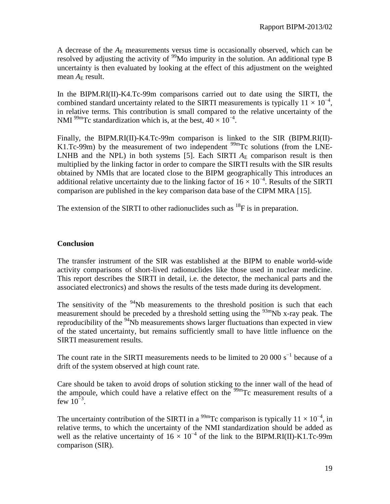A decrease of the  $A_E$  measurements versus time is occasionally observed, which can be resolved by adjusting the activity of  $99$ Mo impurity in the solution. An additional type B uncertainty is then evaluated by looking at the effect of this adjustment on the weighted mean  $A_E$  result.

In the BIPM.RI(II)-K4.Tc-99m comparisons carried out to date using the SIRTI, the combined standard uncertainty related to the SIRTI measurements is typically  $11 \times 10^{-4}$ , in relative terms. This contribution is small compared to the relative uncertainty of the NMI  $^{99m}$ Tc standardization which is, at the best,  $40 \times 10^{-4}$ .

Finally, the BIPM.RI(II)-K4.Tc-99m comparison is linked to the SIR (BIPM.RI(II)- K1.Tc-99m) by the measurement of two independent  $\frac{99m}{Tc}$  solutions (from the LNE-LNHB and the NPL) in both systems [5]. Each SIRTI  $A<sub>E</sub>$  comparison result is then multiplied by the linking factor in order to compare the SIRTI results with the SIR results obtained by NMIs that are located close to the BIPM geographically This introduces an additional relative uncertainty due to the linking factor of  $16 \times 10^{-4}$ . Results of the SIRTI comparison are published in the key comparison data base of the CIPM MRA [15].

The extension of the SIRTI to other radionuclides such as  ${}^{18}F$  is in preparation.

# **Conclusion**

The transfer instrument of the SIR was established at the BIPM to enable world-wide activity comparisons of short-lived radionuclides like those used in nuclear medicine. This report describes the SIRTI in detail, i.e. the detector, the mechanical parts and the associated electronics) and shows the results of the tests made during its development.

The sensitivity of the  $94$ Nb measurements to the threshold position is such that each measurement should be preceded by a threshold setting using the  $93m$ Nb x-ray peak. The reproducibility of the <sup>94</sup>Nb measurements shows larger fluctuations than expected in view of the stated uncertainty, but remains sufficiently small to have little influence on the SIRTI measurement results.

The count rate in the SIRTI measurements needs to be limited to 20 000 s<sup> $^{-1}$ </sup> because of a drift of the system observed at high count rate.

Care should be taken to avoid drops of solution sticking to the inner wall of the head of the ampoule, which could have a relative effect on the  $\frac{99m}{Tc}$  measurement results of a few  $10^{-3}$ .

The uncertainty contribution of the SIRTI in a <sup>99m</sup>Tc comparison is typically  $11 \times 10^{-4}$ , in relative terms, to which the uncertainty of the NMI standardization should be added as well as the relative uncertainty of  $16 \times 10^{-4}$  of the link to the BIPM.RI(II)-K1.Tc-99m comparison (SIR).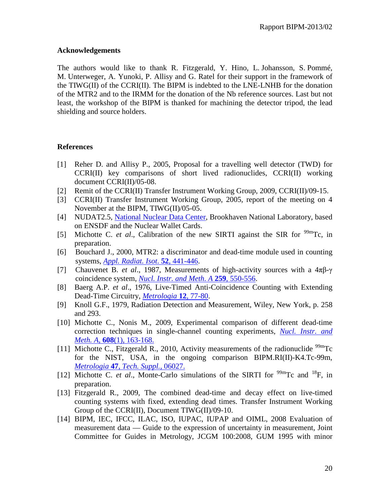#### **Acknowledgements**

The authors would like to thank R. Fitzgerald, Y. Hino, L. Johansson, S. Pommé, M. Unterweger, A. Yunoki, P. Allisy and G. Ratel for their support in the framework of the TIWG(II) of the CCRI(II). The BIPM is indebted to the LNE-LNHB for the donation of the MTR2 and to the IRMM for the donation of the Nb reference sources. Last but not least, the workshop of the BIPM is thanked for machining the detector tripod, the lead shielding and source holders.

#### **References**

- [1] Reher D. and Allisy P., 2005, Proposal for a travelling well detector (TWD) for CCRI(II) key comparisons of short lived radionuclides, CCRI(II) working document CCRI(II)/05-08.
- [2] Remit of the CCRI(II) Transfer Instrument Working Group, 2009, CCRI(II)/09-15.
- [3] CCRI(II) Transfer Instrument Working Group, 2005, report of the meeting on 4 November at the BIPM, TIWG(II)/05-05.
- [4] NUDAT2.5, [National Nuclear Data Center,](http://www.nndc.bnl.gov/) Brookhaven National Laboratory, based on ENSDF and the Nuclear Wallet Cards.
- [5] Michotte C. *et al.*, Calibration of the new SIRTI against the SIR for  $\frac{99m}{\text{TC}}$ , in preparation.
- [6] Bouchard J., 2000, MTR2: a discriminator and dead-time module used in counting systems, *[Appl. Radiat. Isot](http://dx.doi.org/10.1016/S0969-8043(99)00192-X)*. **52**, 441-446.
- [7] Chauvenet B. *et al*., 1987, Measurements of high-activity sources with a 4πβ-γ coincidence system, *[Nucl. Instr. and Meth](http://dx.doi.org/10.1016/0168-9002(87)90839-4)*. *A* **259**, 550-556.
- [8] Baerg A.P. *et al*., 1976, Live-Timed Anti-Coincidence Counting with Extending Dead-Time Circuitry, *[Metrologia](http://dx.doi.org/10.1088/0026-1394/12/2/006)* **12**, 77-80.
- [9] Knoll G.F., 1979, Radiation Detection and Measurement, Wiley, New York, p. 258 and 293.
- [10] Michotte C., Nonis M., 2009, Experimental comparison of different dead-time correction techniques in single-channel counting experiments, *[Nucl. Instr. and](http://dx.doi.org/10.1016/j.nima.2009.06.010)  Meth. A,* **608**[\(1\), 163-168.](http://dx.doi.org/10.1016/j.nima.2009.06.010)
- [11] Michotte C., Fitzgerald R., 2010, Activity measurements of the radionuclide  $^{99m}$ Tc for the NIST, USA, in the ongoing comparison BIPM.RI(II)-K4.Tc-99m, *Metrologia* **47**, *[Tech. Suppl.,](http://stacks.iop.org/0026-1394/47/06027)* 06027.
- [12] Michotte C. *et al.*, Monte-Carlo simulations of the SIRTI for  $^{99m}$ Tc and  $^{18}$ F, in preparation.
- [13] Fitzgerald R., 2009, The combined dead-time and decay effect on live-timed counting systems with fixed, extending dead times. Transfer Instrument Working Group of the CCRI(II), Document TIWG(II)/09-10.
- [14] BIPM, IEC, IFCC, ILAC, ISO, IUPAC, IUPAP and OIML, 2008 Evaluation of measurement data — Guide to the expression of uncertainty in measurement, Joint Committee for Guides in Metrology, JCGM 100:2008, GUM 1995 with minor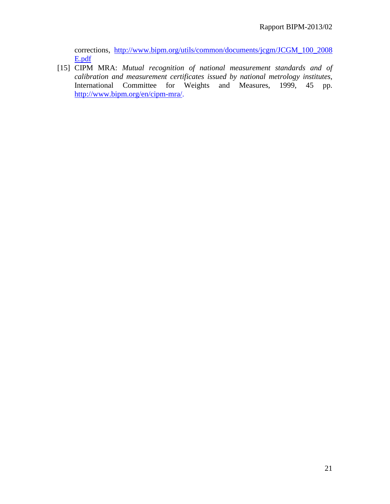corrections, [http://www.bipm.org/utils/common/documents/jcgm/JCGM\\_100\\_2008](http://www.bipm.org/utils/common/documents/jcgm/JCGM_100_2008%20E.pdf)  [E.pdf](http://www.bipm.org/utils/common/documents/jcgm/JCGM_100_2008%20E.pdf)

[15] CIPM MRA: *Mutual recognition of national measurement standards and of calibration and measurement certificates issued by national metrology institutes*, International Committee for Weights and Measures, 1999, 45 pp. [http://www.bipm.org/en/cipm-mra/.](http://www.bipm.org/en/cipm-mra/)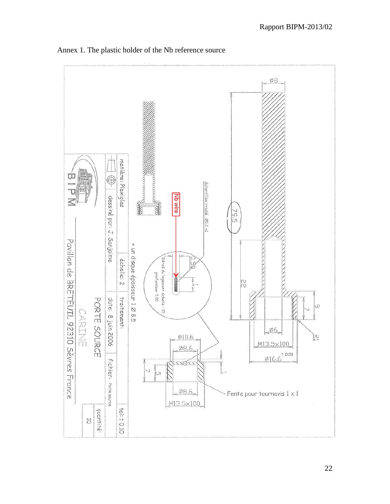

Annex 1. The plastic holder of the Nb reference source